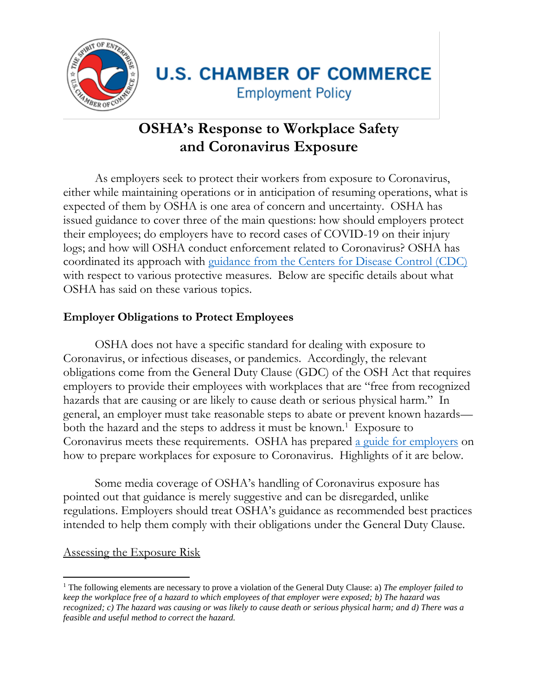

# **U.S. CHAMBER OF COMMERCE Employment Policy**

## **OSHA's Response to Workplace Safety and Coronavirus Exposure**

As employers seek to protect their workers from exposure to Coronavirus, either while maintaining operations or in anticipation of resuming operations, what is expected of them by OSHA is one area of concern and uncertainty. OSHA has issued guidance to cover three of the main questions: how should employers protect their employees; do employers have to record cases of COVID-19 on their injury logs; and how will OSHA conduct enforcement related to Coronavirus? OSHA has coordinated its approach with [guidance from the Centers for Disease Control \(CDC\)](https://www.cdc.gov/coronavirus/2019-ncov/downloads/critical-workers-implementing-safety-practices.pdf) with respect to various protective measures. Below are specific details about what OSHA has said on these various topics.

### **Employer Obligations to Protect Employees**

OSHA does not have a specific standard for dealing with exposure to Coronavirus, or infectious diseases, or pandemics. Accordingly, the relevant obligations come from the General Duty Clause (GDC) of the OSH Act that requires employers to provide their employees with workplaces that are "free from recognized hazards that are causing or are likely to cause death or serious physical harm." In general, an employer must take reasonable steps to abate or prevent known hazards both the hazard and the steps to address it must be known.<sup>1</sup> Exposure to Coronavirus meets these requirements. OSHA has prepared [a guide for employers](https://www.osha.gov/Publications/OSHA3990.pdf) on how to prepare workplaces for exposure to Coronavirus. Highlights of it are below.

Some media coverage of OSHA's handling of Coronavirus exposure has pointed out that guidance is merely suggestive and can be disregarded, unlike regulations. Employers should treat OSHA's guidance as recommended best practices intended to help them comply with their obligations under the General Duty Clause.

Assessing the Exposure Risk

 $\overline{a}$ 

<sup>1</sup> The following elements are necessary to prove a violation of the General Duty Clause: a) *The employer failed to keep the workplace free of a hazard to which employees of that employer were exposed; b) The hazard was recognized; c) The hazard was causing or was likely to cause death or serious physical harm; and d) There was a feasible and useful method to correct the hazard.*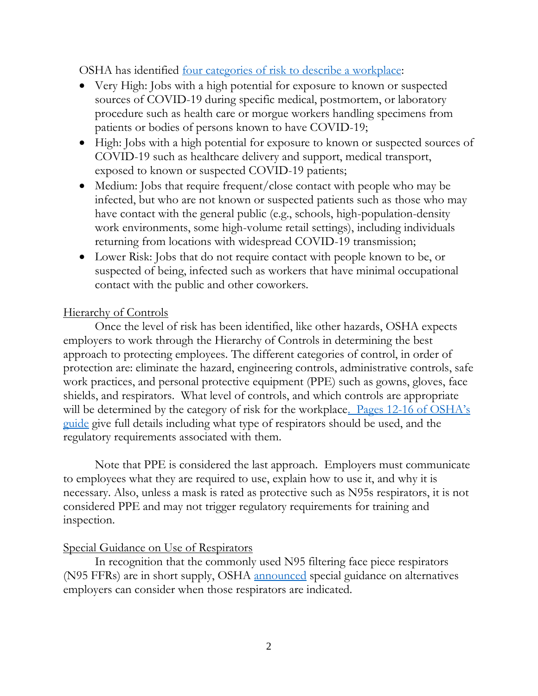OSHA has identified [four categories of risk to describe a workplace:](https://www.osha.gov/Publications/OSHA3993.pdf)

- Very High: Jobs with a high potential for exposure to known or suspected sources of COVID-19 during specific medical, postmortem, or laboratory procedure such as health care or morgue workers handling specimens from patients or bodies of persons known to have COVID-19;
- High: Jobs with a high potential for exposure to known or suspected sources of COVID-19 such as healthcare delivery and support, medical transport, exposed to known or suspected COVID-19 patients;
- Medium: Jobs that require frequent/close contact with people who may be infected, but who are not known or suspected patients such as those who may have contact with the general public (e.g., schools, high-population-density work environments, some high-volume retail settings), including individuals returning from locations with widespread COVID-19 transmission;
- Lower Risk: Jobs that do not require contact with people known to be, or suspected of being, infected such as workers that have minimal occupational contact with the public and other coworkers.

#### Hierarchy of Controls

Once the level of risk has been identified, like other hazards, OSHA expects employers to work through the Hierarchy of Controls in determining the best approach to protecting employees. The different categories of control, in order of protection are: eliminate the hazard, engineering controls, administrative controls, safe work practices, and personal protective equipment (PPE) such as gowns, gloves, face shields, and respirators. What level of controls, and which controls are appropriate will be determined by the category of risk for the workplace. Pages 12-16 of OSHA's [guide](https://www.osha.gov/Publications/OSHA3990.pdf) give full details including what type of respirators should be used, and the regulatory requirements associated with them.

Note that PPE is considered the last approach. Employers must communicate to employees what they are required to use, explain how to use it, and why it is necessary. Also, unless a mask is rated as protective such as N95s respirators, it is not considered PPE and may not trigger regulatory requirements for training and inspection.

#### Special Guidance on Use of Respirators

In recognition that the commonly used N95 filtering face piece respirators (N95 FFRs) are in short supply, OSHA [announced](https://content.govdelivery.com/accounts/USDOL/bulletins/284c608) special guidance on alternatives employers can consider when those respirators are indicated.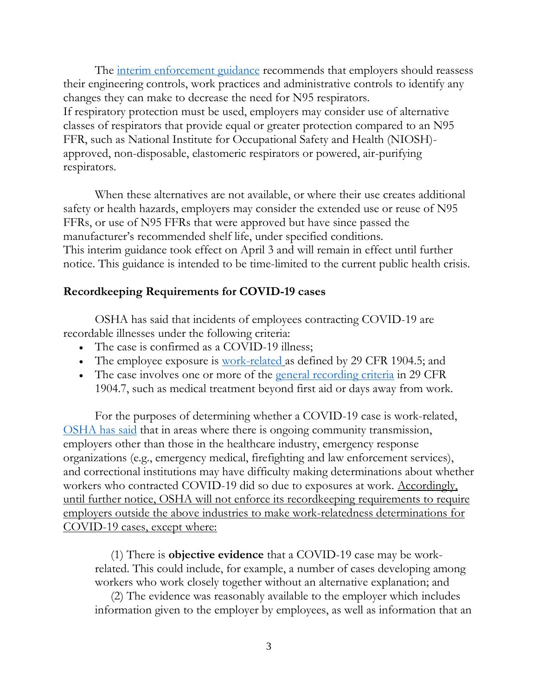The [interim enforcement guidance](https://lnks.gd/l/eyJhbGciOiJIUzI1NiJ9.eyJidWxsZXRpbl9saW5rX2lkIjoxMDEsInVyaSI6ImJwMjpjbGljayIsImJ1bGxldGluX2lkIjoiMjAyMDA0MDMuMTk3MjQ5MTEiLCJ1cmwiOiJodHRwczovL3d3dy5vc2hhLmdvdi9tZW1vcy8yMDIwLTA0LTAzL2VuZm9yY2VtZW50LWd1aWRhbmNlLXJlc3BpcmF0b3J5LXByb3RlY3Rpb24tYW5kLW45NS1zaG9ydGFnZS1kdWUtY29yb25hdmlydXMifQ.ky6v9CSKsOJAJb0Jjx__SBwv7rwqgyh0WEffxwQKuN4/br/77018001326-l) recommends that employers should reassess their engineering controls, work practices and administrative controls to identify any changes they can make to decrease the need for N95 respirators. If respiratory protection must be used, employers may consider use of alternative classes of respirators that provide equal or greater protection compared to an N95 FFR, such as National Institute for Occupational Safety and Health (NIOSH) approved, non-disposable, elastomeric respirators or powered, air-purifying respirators.

When these alternatives are not available, or where their use creates additional safety or health hazards, employers may consider the extended use or reuse of N95 FFRs, or use of N95 FFRs that were approved but have since passed the manufacturer's recommended shelf life, under specified conditions. This interim guidance took effect on April 3 and will remain in effect until further notice. This guidance is intended to be time-limited to the current public health crisis.

#### **Recordkeeping Requirements for COVID-19 cases**

OSHA has said that incidents of employees contracting COVID-19 are recordable illnesses under the following criteria:

- The case is confirmed as a COVID-19 illness;
- The employee exposure is [work-related](https://lnks.gd/l/eyJhbGciOiJIUzI1NiJ9.eyJidWxsZXRpbl9saW5rX2lkIjoxMDMsInVyaSI6ImJwMjpjbGljayIsImJ1bGxldGluX2lkIjoiMjAyMDA0MTAuMjAwMjU1NTEiLCJ1cmwiOiJodHRwczovL3d3dy5vc2hhLmdvdi9sYXdzLXJlZ3MvcmVndWxhdGlvbnMvc3RhbmRhcmRudW1iZXIvMTkwNC8xOTA0LjUifQ.8CjK-ay0RwJrG-WUMxXKOWhrBes1pJ1QjFxXq15w9aU/br/77292290774-l) as defined by 29 CFR 1904.5; and
- The case involves one or more of the [general recording criteria](https://lnks.gd/l/eyJhbGciOiJIUzI1NiJ9.eyJidWxsZXRpbl9saW5rX2lkIjoxMDQsInVyaSI6ImJwMjpjbGljayIsImJ1bGxldGluX2lkIjoiMjAyMDA0MTAuMjAwMjU1NTEiLCJ1cmwiOiJodHRwczovL3d3dy5vc2hhLmdvdi9sYXdzLXJlZ3MvcmVndWxhdGlvbnMvc3RhbmRhcmRudW1iZXIvMTkwNC8xOTA0LjcifQ.yt9KbXhUL0O9qKfk_oH7GIjnbfdnHD7Atz2GoiCE8X0/br/77292290774-l) in 29 CFR 1904.7, such as medical treatment beyond first aid or days away from work.

For the purposes of determining whether a COVID-19 case is work-related, [OSHA has said](https://content.govdelivery.com/accounts/USDOL/bulletins/285f353) that in areas where there is ongoing community transmission, employers other than those in the healthcare industry, emergency response organizations (e.g., emergency medical, firefighting and law enforcement services), and correctional institutions may have difficulty making determinations about whether workers who contracted COVID-19 did so due to exposures at work. Accordingly, until further notice, OSHA will not enforce its recordkeeping requirements to require employers outside the above industries to make work-relatedness determinations for COVID-19 cases, except where:

(1) There is **objective evidence** that a COVID-19 case may be workrelated. This could include, for example, a number of cases developing among workers who work closely together without an alternative explanation; and

(2) The evidence was reasonably available to the employer which includes information given to the employer by employees, as well as information that an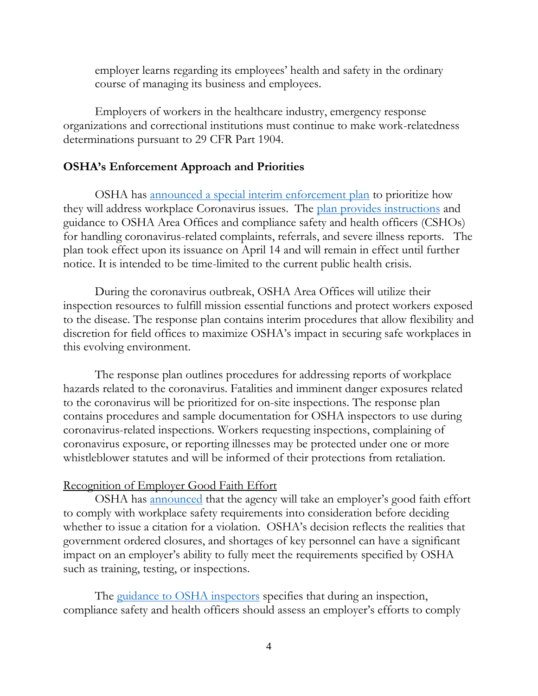employer learns regarding its employees' health and safety in the ordinary course of managing its business and employees.

Employers of workers in the healthcare industry, emergency response organizations and correctional institutions must continue to make work-relatedness determinations pursuant to 29 CFR Part 1904.

#### **OSHA's Enforcement Approach and Priorities**

OSHA has [announced a special interim enforcement plan](https://content.govdelivery.com/accounts/USDOL/bulletins/2866945) to prioritize how they will address workplace Coronavirus issues. The [plan provides instructions](https://gcc01.safelinks.protection.outlook.com/?url=https%3A%2F%2Fwww.osha.gov%2Fmemos%2F2020-04-13%2Finterim-enforcement-response-plan-coronavirus-disease-2019-covid-19&data=02%7C01%7Ccabana.sophia%40dol.gov%7C8bcb233730444cb03b1108d7e08b2422%7C75a6305472044e0c9126adab971d4aca%7C0%7C0%7C637224760515437355&sdata=JdJvMUAq6dEbEz0NGj4JzQxW6848qOycAlLa%2Bxs93dg%3D&reserved=0) and guidance to OSHA Area Offices and compliance safety and health officers (CSHOs) for handling coronavirus-related complaints, referrals, and severe illness reports. The plan took effect upon its issuance on April 14 and will remain in effect until further notice. It is intended to be time-limited to the current public health crisis.

During the coronavirus outbreak, OSHA Area Offices will utilize their inspection resources to fulfill mission essential functions and protect workers exposed to the disease. The response plan contains interim procedures that allow flexibility and discretion for field offices to maximize OSHA's impact in securing safe workplaces in this evolving environment.

The response plan outlines procedures for addressing reports of workplace hazards related to the coronavirus. Fatalities and imminent danger exposures related to the coronavirus will be prioritized for on-site inspections. The response plan contains procedures and sample documentation for OSHA inspectors to use during coronavirus-related inspections. Workers requesting inspections, complaining of coronavirus exposure, or reporting illnesses may be protected under one or more whistleblower statutes and will be informed of their protections from retaliation.

#### Recognition of Employer Good Faith Effort

OSHA has [announced](https://content.govdelivery.com/accounts/USDOL/bulletins/2870e3f) that the agency will take an employer's good faith effort to comply with workplace safety requirements into consideration before deciding whether to issue a citation for a violation. OSHA's decision reflects the realities that government ordered closures, and shortages of key personnel can have a significant impact on an employer's ability to fully meet the requirements specified by OSHA such as training, testing, or inspections.

The [guidance to OSHA](https://lnks.gd/l/eyJhbGciOiJIUzI1NiJ9.eyJidWxsZXRpbl9saW5rX2lkIjoxMDEsInVyaSI6ImJwMjpjbGljayIsImJ1bGxldGluX2lkIjoiMjAyMDA0MTcuMjAzMDYzMDEiLCJ1cmwiOiJodHRwczovL3d3dy5vc2hhLmdvdi9tZW1vcy8yMDIwLTA0LTE2L2Rpc2NyZXRpb24tZW5mb3JjZW1lbnQtd2hlbi1jb25zaWRlcmluZy1lbXBsb3llcnMtZ29vZC1mYWl0aC1lZmZvcnRzLWR1cmluZyJ9.gCvv_gedm9moQzzLTSfsE7YhdZVKx4LMmNcm92bGOdk/br/77551273414-l) inspectors specifies that during an inspection, compliance safety and health officers should assess an employer's efforts to comply